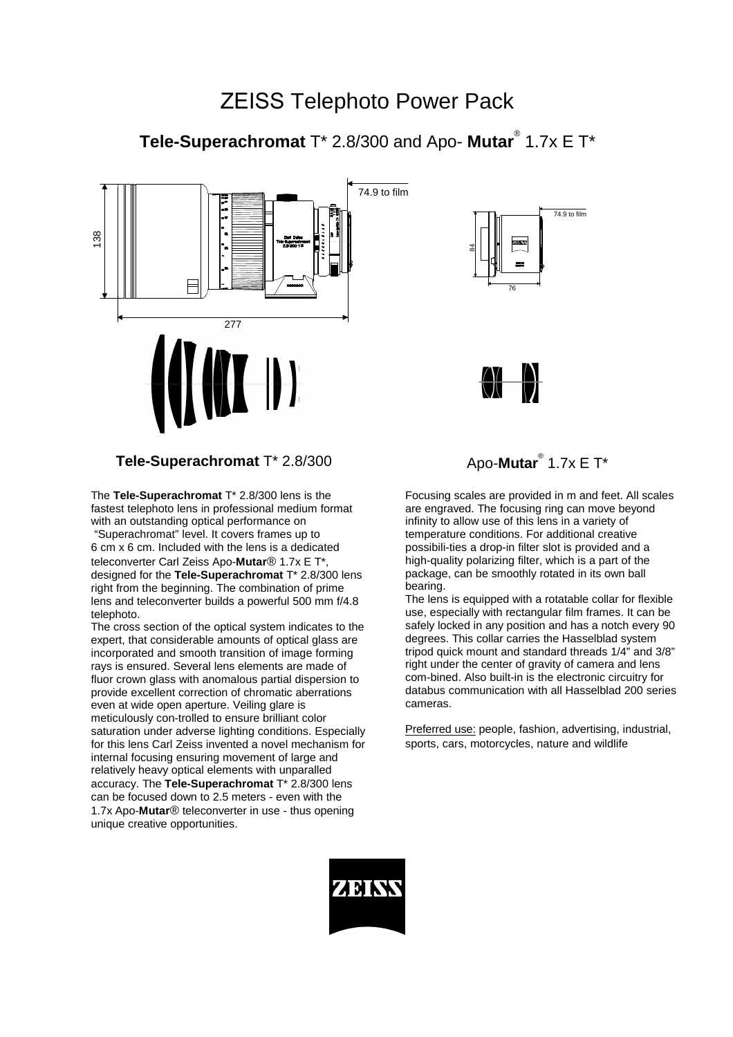# ZEISS Telephoto Power Pack

# **Tele-Superachromat** T\* 2.8/300 and Apo- **Mutar**® 1.7x E T\*





The **Tele-Superachromat** T\* 2.8/300 lens is the fastest telephoto lens in professional medium format with an outstanding optical performance on

 "Superachromat" level. It covers frames up to 6 cm x 6 cm. Included with the lens is a dedicated teleconverter Carl Zeiss Apo-**Mutar**® 1.7x E T\*, designed for the **Tele-Superachromat** T\* 2.8/300 lens right from the beginning. The combination of prime lens and teleconverter builds a powerful 500 mm f/4.8 telephoto.

The cross section of the optical system indicates to the expert, that considerable amounts of optical glass are incorporated and smooth transition of image forming rays is ensured. Several lens elements are made of fluor crown glass with anomalous partial dispersion to provide excellent correction of chromatic aberrations even at wide open aperture. Veiling glare is meticulously con-trolled to ensure brilliant color saturation under adverse lighting conditions. Especially for this lens Carl Zeiss invented a novel mechanism for internal focusing ensuring movement of large and relatively heavy optical elements with unparalled accuracy. The **Tele-Superachromat** T\* 2.8/300 lens can be focused down to 2.5 meters - even with the 1.7x Apo-**Mutar**® teleconverter in use - thus opening unique creative opportunities.





# Apo-Mutar<sup>®</sup> 1.7x E T\*

Focusing scales are provided in m and feet. All scales are engraved. The focusing ring can move beyond infinity to allow use of this lens in a variety of temperature conditions. For additional creative possibili-ties a drop-in filter slot is provided and a high-quality polarizing filter, which is a part of the package, can be smoothly rotated in its own ball bearing.

The lens is equipped with a rotatable collar for flexible use, especially with rectangular film frames. It can be safely locked in any position and has a notch every 90 degrees. This collar carries the Hasselblad system tripod quick mount and standard threads 1/4" and 3/8" right under the center of gravity of camera and lens com-bined. Also built-in is the electronic circuitry for databus communication with all Hasselblad 200 series cameras.

Preferred use: people, fashion, advertising, industrial, sports, cars, motorcycles, nature and wildlife

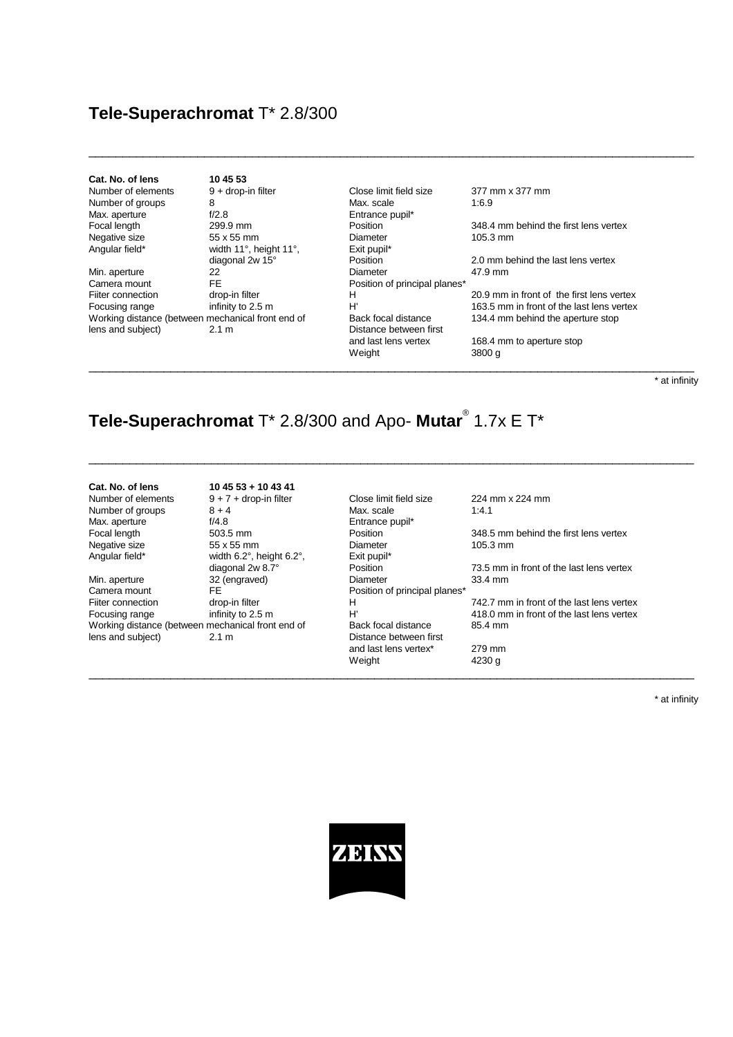### **Tele-Superachromat** T\* 2.8/300

| Cat. No. of lens  |
|-------------------|
| Number of element |
| Number of groups  |
| Max. aperture     |
| Focal length      |
| Negative size     |
| Angular field*    |
|                   |

| Cat. No. of lens                                  | 10 45 53               |                               |                     |
|---------------------------------------------------|------------------------|-------------------------------|---------------------|
| Number of elements                                | $9 +$ drop-in filter   | Close limit field size        | 377 mm x 377 mm     |
| Number of groups                                  | 8                      | Max. scale                    | 1:6.9               |
| Max. aperture                                     | f/2.8                  | Entrance pupil*               |                     |
| Focal length                                      | 299.9 mm               | Position                      | 348.4 mm behind tl  |
| Negative size                                     | 55 x 55 mm             | Diameter                      | $105.3$ mm          |
| Angular field*                                    | width 11°, height 11°, | Exit pupil*                   |                     |
|                                                   | diagonal 2w 15°        | Position                      | 2.0 mm behind the   |
| Min. aperture                                     | 22                     | Diameter                      | 47.9 mm             |
| Camera mount                                      | <b>FE</b>              | Position of principal planes* |                     |
| Fiiter connection                                 | drop-in filter         | н                             | 20.9 mm in front of |
| Focusing range                                    | infinity to 2.5 m      | H'                            | 163.5 mm in front c |
| Working distance (between mechanical front end of |                        | Back focal distance           | 134.4 mm behind tl  |
| lens and subject)                                 | 2.1 m                  | Distance between first        |                     |
|                                                   |                        | and last lens vertex          | 168.4 mm to apertu  |
|                                                   |                        | Weiaht                        | 3800 a              |

 $\_$  , and the set of the set of the set of the set of the set of the set of the set of the set of the set of the set of the set of the set of the set of the set of the set of the set of the set of the set of the set of th

\_\_\_\_\_\_\_\_\_\_\_\_\_\_\_\_\_\_\_\_\_\_\_\_\_\_\_\_\_\_\_\_\_\_\_\_\_\_\_\_\_\_\_\_\_\_\_\_\_\_\_\_\_\_\_\_\_\_\_\_\_\_\_\_\_\_\_\_\_\_\_\_\_\_\_\_\_\_\_\_\_\_\_\_\_\_\_\_\_

\_\_\_\_\_\_\_\_\_\_\_\_\_\_\_\_\_\_\_\_\_\_\_\_\_\_\_\_\_\_\_\_\_\_\_\_\_\_\_\_\_\_\_\_\_\_\_\_\_\_\_\_\_\_\_\_\_\_\_\_\_\_\_\_\_\_\_\_\_\_\_\_\_\_\_\_\_\_\_\_\_\_\_\_\_\_\_\_\_

Focal length 299.9 mm Position 348.4 mm behind the first lens vertex

2.0 mm behind the last lens vertex

20.9 mm in front of the first lens vertex Focusing range infinity to 2.5 m<br>Working distance (between mechanical front end of Back focal distance 134.4 mm behind the aperture stop

> 168.4 mm to aperture stop 3800 g

> > \* at infinity

# **Tele-Superachromat** T\* 2.8/300 and Apo- **Mutar**® 1.7x E T\*

#### **Cat. No. of lens 10 45 53 + 10 43 41**

Working distance (between mechanical front end of lens and subject) 2.1 m Distance between first

Max. aperture  $f/4.8$  Entrance pupil\*<br>Focal length  $f/4.8$  Entrance pupil\*<br>Focal length 503.5 mm Angular field\* width 6.2°, height 6.2°, Exit pupil\*

Number of elements 9 + 7 + drop-in filter Close limit field size 224 mm x 224 mm Number of groups  $8 + 4$  Max. scale 1:4.1<br>Max. aperture f/4.8 Entrance pupil\* Negative size 55 x 55 mm Diameter 105.3 mm Min. aperture 32 (engraved) Diameter 33.4 mm<br>Camera mount FE FE Position of principal planes\* Camera mount FE FORCE POSITION OF POSITION OF PRINCIPAL POSITION OF PRINCIPAL POSITION OF PRINCIPAL CHILD CHILD<br>Filter connection drop-in filter H and last lens vertex\* 279 mm Weight 4230 g  $\_$  ,  $\_$  ,  $\_$  ,  $\_$  ,  $\_$  ,  $\_$  ,  $\_$  ,  $\_$  ,  $\_$  ,  $\_$  ,  $\_$  ,  $\_$  ,  $\_$  ,  $\_$  ,  $\_$  ,  $\_$  ,  $\_$  ,  $\_$  ,  $\_$  ,  $\_$  ,  $\_$  ,  $\_$  ,  $\_$  ,  $\_$  ,  $\_$  ,  $\_$  ,  $\_$  ,  $\_$  ,  $\_$  ,  $\_$  ,  $\_$  ,  $\_$  ,  $\_$  ,  $\_$  ,  $\_$  ,  $\_$  ,  $\_$  ,

348.5 mm behind the first lens vertex diagonal 2w 8.7° Position Position 73.5 mm in front of the last lens vertex Figure connection drop-in filter terms and the last lens vertex Focusing range infinity to 2.5 m<br>Working distance (between mechanical front end of Back focal distance 85.4 mm

\* at infinity

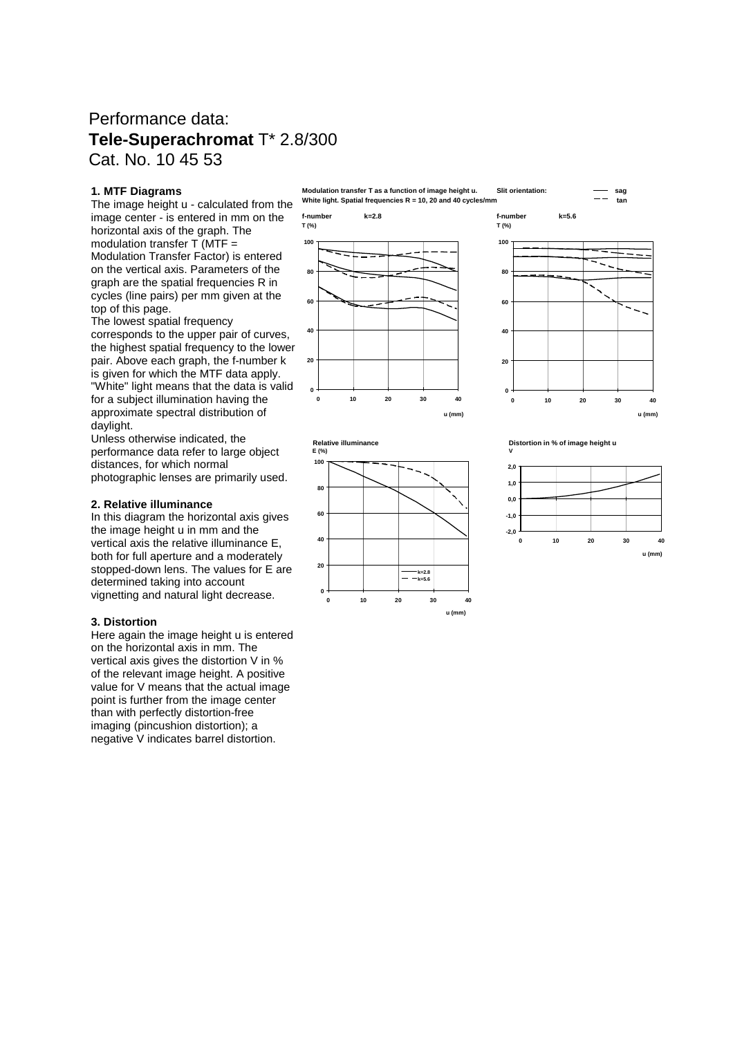### Performance data: **Tele-Superachromat** T\* 2.8/300 Cat. No. 10 45 53

### **1. MTF Diagrams**

The image height u - calculated from the image center - is entered in mm on the horizontal axis of the graph. The modulation transfer  $T$  (MTF = Modulation Transfer Factor) is entered on the vertical axis. Parameters of the graph are the spatial frequencies R in cycles (line pairs) per mm given at the top of this page.

The lowest spatial frequency corresponds to the upper pair of curves, the highest spatial frequency to the lower pair. Above each graph, the f-number k is given for which the MTF data apply. "White" light means that the data is valid for a subject illumination having the approximate spectral distribution of daylight.

Unless otherwise indicated, the performance data refer to large object distances, for which normal photographic lenses are primarily used.

#### **2. Relative illuminance**

In this diagram the horizontal axis gives the image height u in mm and the vertical axis the relative illuminance E, both for full aperture and a moderately stopped-down lens. The values for E are determined taking into account vignetting and natural light decrease.

#### **3. Distortion**

Here again the image height u is entered on the horizontal axis in mm. The vertical axis gives the distortion V in % of the relevant image height. A positive value for V means that the actual image point is further from the image center than with perfectly distortion-free imaging (pincushion distortion); a negative V indicates barrel distortion.

**Modulation transfer T as a function of image height u. Slit orientation: sag White light. Spatial frequencies R = 10, 20 and 40 cycles/mm tan**

**f-number k=2.8 f-number k=5.6 T (%) T (%)**







**u (mm)**

**0 10 20 30 40**

**0**

**20**

**40**

**60**

**80**

**100**